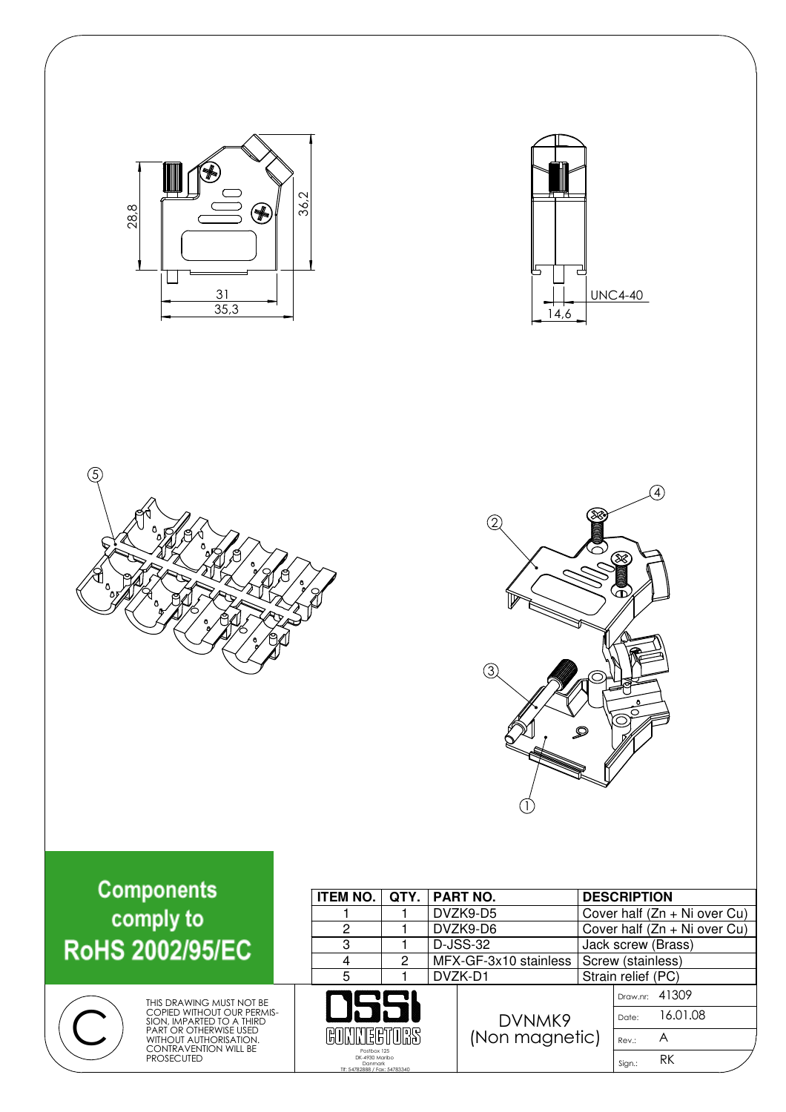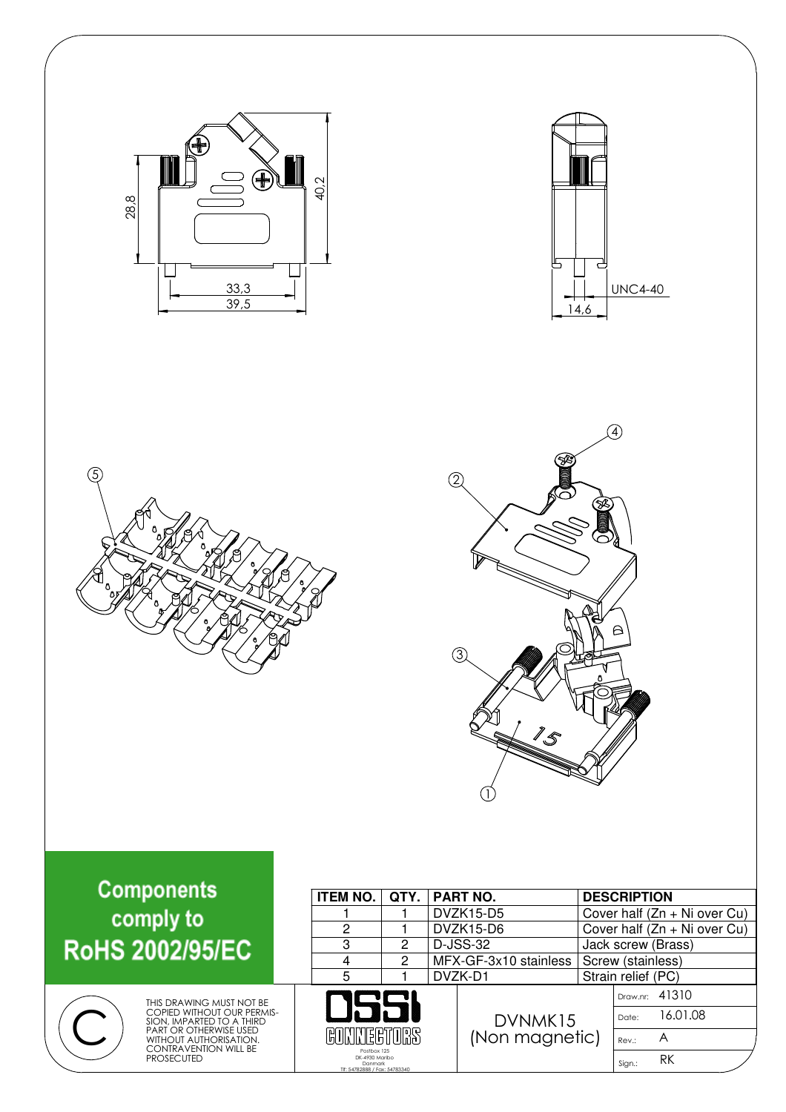| ŧ<br>28,8<br>33,3<br>39,5                                                                                                                                                             | 40,2                                                                                                                                                  | ⊞<br>14,6                                                                                                      | سے<br><b>UNC4-40</b>                                                                                                                                |
|---------------------------------------------------------------------------------------------------------------------------------------------------------------------------------------|-------------------------------------------------------------------------------------------------------------------------------------------------------|----------------------------------------------------------------------------------------------------------------|-----------------------------------------------------------------------------------------------------------------------------------------------------|
| $\circledS$                                                                                                                                                                           |                                                                                                                                                       | 2<br>(3)<br>15                                                                                                 | A,<br>$\triangleright$                                                                                                                              |
| <b>Components</b><br>comply to<br><b>RoHS 2002/95/EC</b>                                                                                                                              | <b>ITEM NO.</b><br>QTY.<br>1<br>1<br>$\overline{c}$<br>1<br>3<br>$\overline{c}$<br>$\overline{4}$<br>$\overline{2}$<br>$\overline{5}$<br>$\mathbf{1}$ | <b>PART NO.</b><br><b>DVZK15-D5</b><br><b>DVZK15-D6</b><br><b>D-JSS-32</b><br>MFX-GF-3x10 stainless<br>DVZK-D1 | <b>DESCRIPTION</b><br>Cover half (Zn + Ni over Cu)<br>Cover half (Zn + Ni over Cu)<br>Jack screw (Brass)<br>Screw (stainless)<br>Strain relief (PC) |
| THIS DRAWING MUST NOT BE<br>COPIED WITHOUT OUR PERMIS-<br>SION, IMPARTED TO A THIRD<br>PART OR OTHERWISE USED<br>WITHOUT AUTHORISATION.<br>CONTRAVENTION WILL BE<br><b>PROSECUTED</b> | ℍ<br>Postbox 125<br>DK-4930 Maribo<br>Danmark<br>Tif: 54782888 / Fax: 54783340                                                                        | DVNMK15<br>(Non magnetic)                                                                                      | Draw.nr: 41310<br>16.01.08<br>Date:<br>A<br>Rev.:<br>RK<br>Sign.:                                                                                   |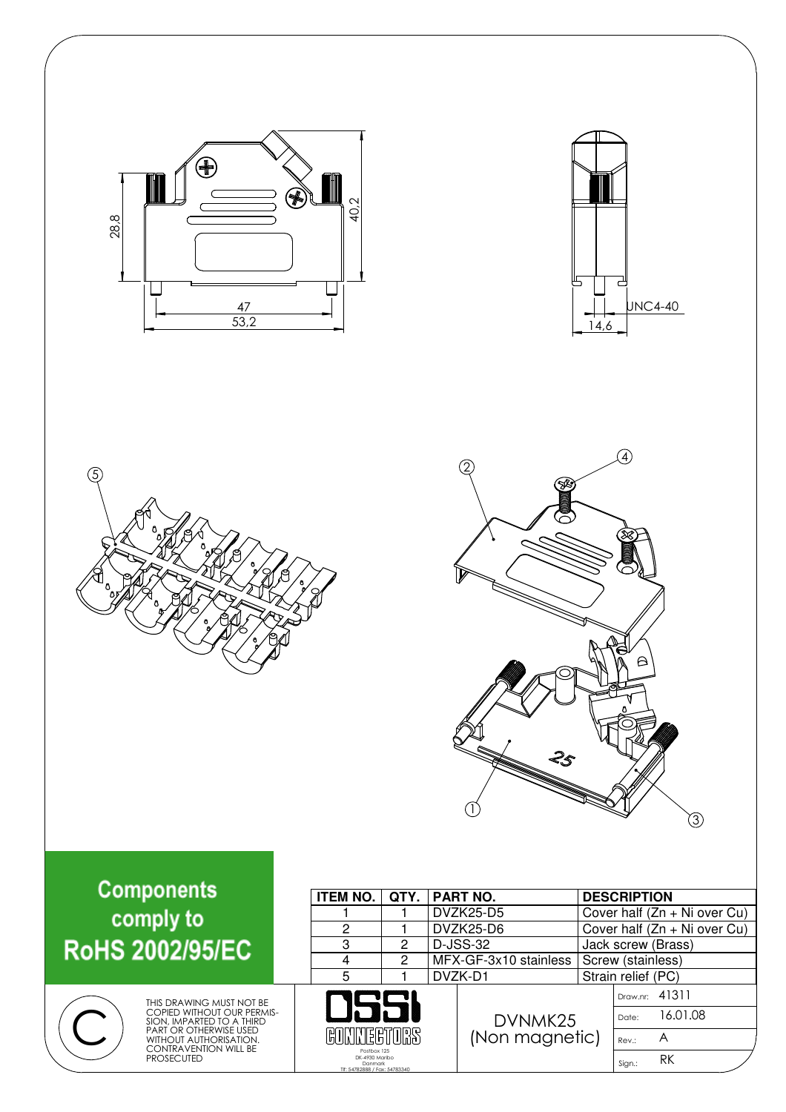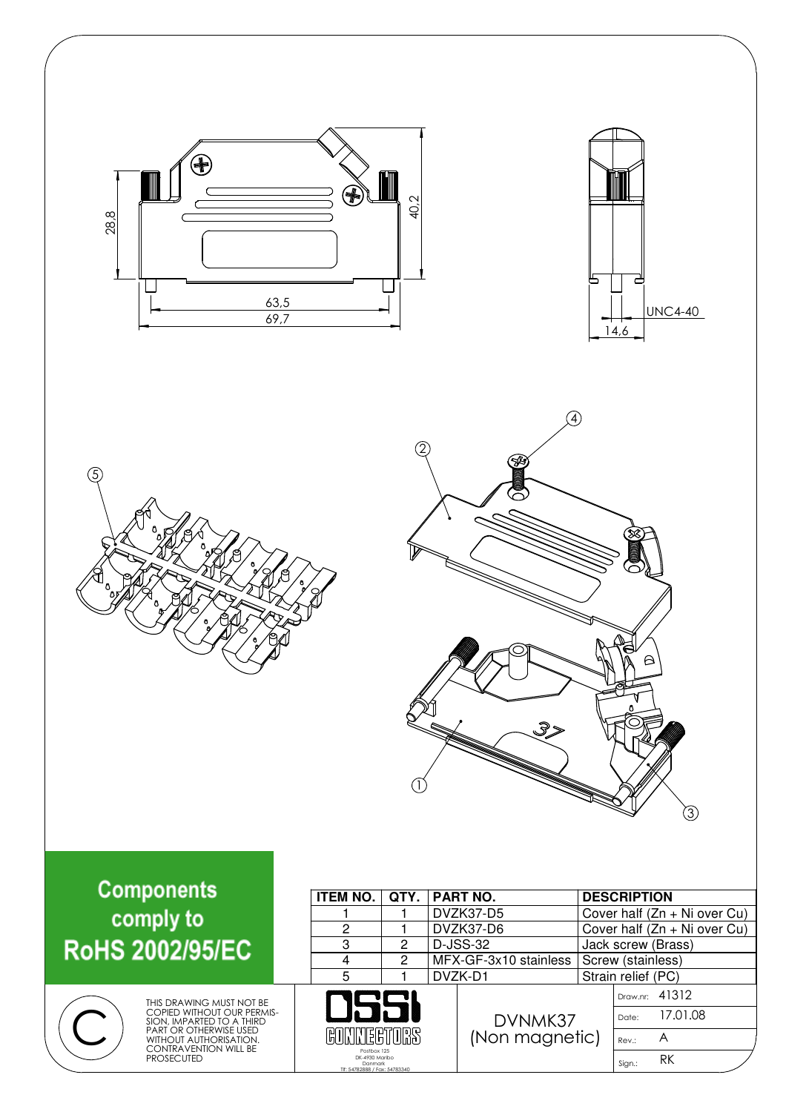